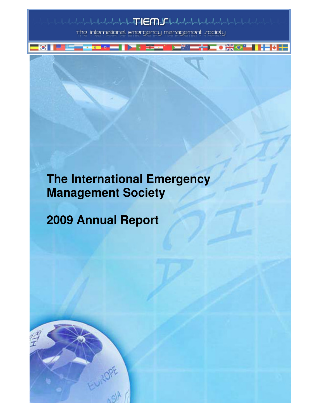$\begin{picture}(120,10) \put(0,0){\vector(1,0){30}} \put(15,0){\vector(1,0){30}} \put(15,0){\vector(1,0){30}} \put(15,0){\vector(1,0){30}} \put(15,0){\vector(1,0){30}} \put(15,0){\vector(1,0){30}} \put(15,0){\vector(1,0){30}} \put(15,0){\vector(1,0){30}} \put(15,0){\vector(1,0){30}} \put(15,0){\vector(1,0){30}} \put(15,0){\vector(1,0){30}} \put(15,0){\vector($ 

<del>▗▓▅▅</del>▓▕▅▓▓▅▅╬▆▆▗▓▓◇▞▀▐▐▜▊▓▐▅

The international emergency management *r*ociety

# **The International Emergency Management Society**

2008 Tiems and Report Page in the page in the page in the page in the page in the page in the page in the page in

**2009 Annual Report** 

 $|O_i|$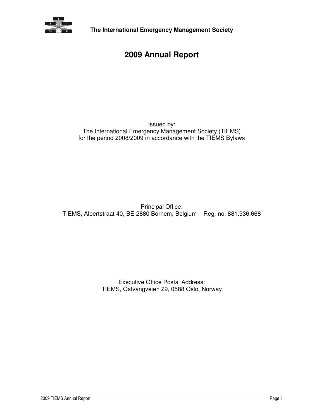

## **2009 Annual Report**

#### Issued by: The International Emergency Management Society (TIEMS) for the period 2008/2009 in accordance with the TIEMS Bylaws

Principal Office: TIEMS, Albertstraat 40, BE-2880 Bornem, Belgium – Reg. no. 881.936.668

> Executive Office Postal Address: TIEMS, Ostvangveien 29, 0588 Oslo, Norway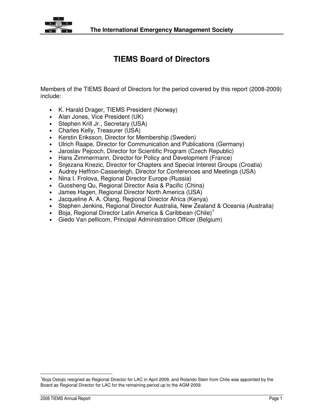

## **TIEMS Board of Directors**

Members of the TIEMS Board of Directors for the period covered by this report (2008-2009) include:

- K. Harald Drager, TIEMS President (Norway)
- Alan Jones, Vice President (UK)
- Stephen Krill Jr., Secretary (USA)
- Charles Kelly, Treasurer (USA)
- Kerstin Eriksson, Director for Membership (Sweden)
- Ulrich Raape, Director for Communication and Publications (Germany)
- Jaroslav Pejcoch, Director for Scientific Program (Czech Republic)
- Hans Zimmermann, Director for Policy and Development (France)
- Snjezana Knezic, Director for Chapters and Special Interest Groups (Croatia)
- Audrey Heffron-Casserleigh, Director for Conferences and Meetings (USA)
- Nina I. Frolova, Regional Director Europe (Russia)
- Guosheng Qu, Regional Director Asia & Pacific (China)
- James Hagen, Regional Director North America (USA)
- Jacqueline A. A. Olang, Regional Director Africa (Kenya)
- Stephen Jenkins, Regional Director Australia, New Zealand & Oceania (Australia)
- Boja, Regional Director Latin America & Caribbean (Chile)<sup>1</sup>
- Giedo Van pellicom, Principal Administration Officer (Belgium)

l

<sup>&</sup>lt;sup>1</sup>Boja Ostojic resigned as Regional Director for LAC in April 2009, and Rolando Stein from Chile was appointed by the Board as Regional Director for LAC for the remaining period up to the AGM 2009.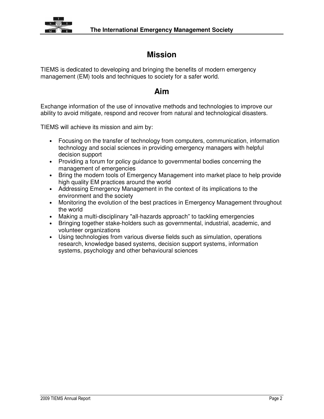

## **Mission**

TIEMS is dedicated to developing and bringing the benefits of modern emergency management (EM) tools and techniques to society for a safer world.

### **Aim**

Exchange information of the use of innovative methods and technologies to improve our ability to avoid mitigate, respond and recover from natural and technological disasters.

TIEMS will achieve its mission and aim by:

- Focusing on the transfer of technology from computers, communication, information technology and social sciences in providing emergency managers with helpful decision support
- Providing a forum for policy guidance to governmental bodies concerning the management of emergencies
- Bring the modern tools of Emergency Management into market place to help provide high quality EM practices around the world
- Addressing Emergency Management in the context of its implications to the environment and the society
- Monitoring the evolution of the best practices in Emergency Management throughout the world
- Making a multi-disciplinary "all-hazards approach" to tackling emergencies
- Bringing together stake-holders such as governmental, industrial, academic, and volunteer organizations
- Using technologies from various diverse fields such as simulation, operations research, knowledge based systems, decision support systems, information systems, psychology and other behavioural sciences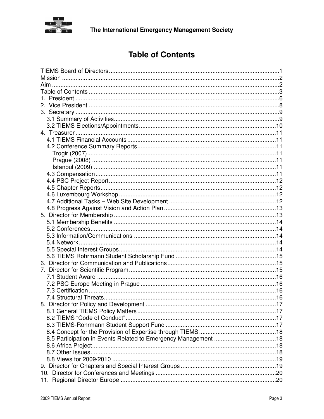

## **Table of Contents**

| 8. Director for Policy and Development |  |
|----------------------------------------|--|
|                                        |  |
|                                        |  |
|                                        |  |
|                                        |  |
|                                        |  |
|                                        |  |
|                                        |  |
|                                        |  |
|                                        |  |
|                                        |  |
|                                        |  |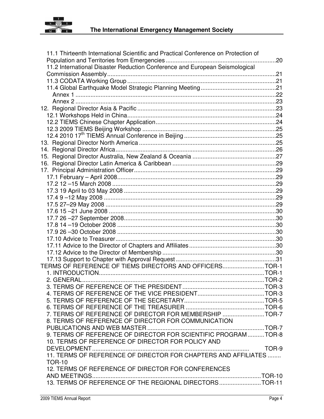

| 11.1 Thirteenth International Scientific and Practical Conference on Protection of |  |
|------------------------------------------------------------------------------------|--|
|                                                                                    |  |
| 11.2 International Disaster Reduction Conference and European Seismological        |  |
|                                                                                    |  |
|                                                                                    |  |
|                                                                                    |  |
|                                                                                    |  |
|                                                                                    |  |
|                                                                                    |  |
|                                                                                    |  |
|                                                                                    |  |
|                                                                                    |  |
|                                                                                    |  |
|                                                                                    |  |
|                                                                                    |  |
|                                                                                    |  |
|                                                                                    |  |
|                                                                                    |  |
|                                                                                    |  |
|                                                                                    |  |
|                                                                                    |  |
|                                                                                    |  |
|                                                                                    |  |
|                                                                                    |  |
|                                                                                    |  |
|                                                                                    |  |
|                                                                                    |  |
|                                                                                    |  |
|                                                                                    |  |
|                                                                                    |  |
|                                                                                    |  |
| TERMS OF REFERENCE OF TIEMS DIRECTORS AND OFFICERSTOR-1                            |  |
|                                                                                    |  |
|                                                                                    |  |
| 3. TERMS OF REFERENCE OF THE PRESIDENT                                             |  |
|                                                                                    |  |
|                                                                                    |  |
|                                                                                    |  |
| 7. TERMS OF REFERENCE OF DIRECTOR FOR MEMBERSHIP TOR-7                             |  |
| 8. TERMS OF REFERENCE OF DIRECTOR FOR COMMUNICATION                                |  |
|                                                                                    |  |
| 9. TERMS OF REFERENCE OF DIRECTOR FOR SCIENTIFIC PROGRAMTOR-8                      |  |
| 10. TERMS OF REFERENCE OF DIRECTOR FOR POLICY AND                                  |  |
|                                                                                    |  |
| 11. TERMS OF REFERENCE OF DIRECTOR FOR CHAPTERS AND AFFILIATES                     |  |
| <b>TOR-10</b>                                                                      |  |
| 12. TERMS OF REFERENCE OF DIRECTOR FOR CONFERENCES                                 |  |
|                                                                                    |  |
|                                                                                    |  |
|                                                                                    |  |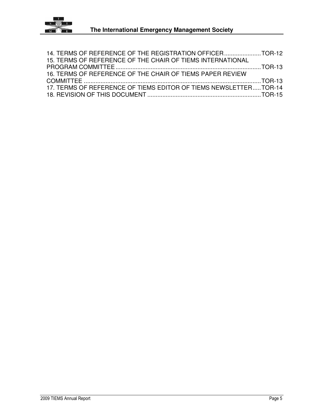

| 14. TERMS OF REFERENCE OF THE REGISTRATION OFFICERTOR-12         |  |
|------------------------------------------------------------------|--|
| 15. TERMS OF REFERENCE OF THE CHAIR OF TIEMS INTERNATIONAL       |  |
|                                                                  |  |
| 16. TERMS OF REFERENCE OF THE CHAIR OF TIEMS PAPER REVIEW        |  |
|                                                                  |  |
| 17. TERMS OF REFERENCE OF TIEMS EDITOR OF TIEMS NEWSLETTERTOR-14 |  |
|                                                                  |  |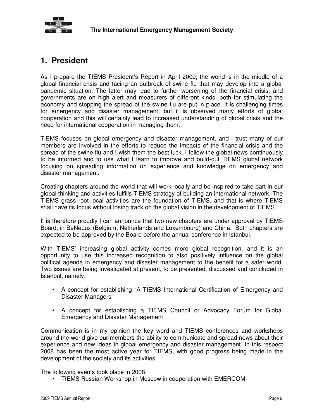

## **1. President**

As I prepare the TIEMS President's Report in April 2009, the world is in the middle of a global financial crisis and facing an outbreak of swine flu that may develop into a global pandemic situation. The latter may lead to further worsening of the financial crisis, and governments are on high alert and measurers of different kinds, both for stimulating the economy and stopping the spread of the swine flu are put in place. It is challenging times for emergency and disaster management, but it is observed many efforts of global cooperation and this will certainly lead to increased understanding of global crisis and the need for international cooperation in managing them.

TIEMS focuses on global emergency and disaster management, and I trust many of our members are involved in the efforts to reduce the impacts of the financial crisis and the spread of the swine flu and I wish them the best luck. I follow the global news continuously to be informed and to use what I learn to improve and build-out TIEMS global network focusing on spreading information on experience and knowledge on emergency and disaster management.

Creating chapters around the world that will work locally and be inspired to take part in our global thinking and activities fulfills TIEMS strategy of building an international network. The TIEMS grass root local activities are the foundation of TIEMS, and that is where TIEMS shall have its focus without losing track on the global vision in the development of TIEMS.

It is therefore proudly I can announce that two new chapters are under approval by TIEMS Board, in BeNeLux (Belgium, Netherlands and Luxembourg) and China. Both chapters are expected to be approved by the Board before the annual conference in Istanbul.

With TIEMS' increasing global activity comes more global recognition, and it is an opportunity to use this increased recognition to also positively influence on the global political agenda in emergency and disaster management to the benefit for a safer world. Two issues are being investigated at present, to be presented, discussed and concluded in Istanbul, namely:

- A concept for establishing "A TIEMS International Certification of Emergency and Disaster Managers"
- A concept for establishing a TIEMS Council or Advocacy Forum for Global Emergency and Disaster Management

Communication is in my opinion the key word and TIEMS conferences and workshops around the world give our members the ability to communicate and spread news about their experience and new ideas in global emergency and disaster management. In this respect 2008 has been the most active year for TIEMS, with good progress being made in the development of the society and its activities.

The following events took place in 2008:

• TIEMS Russian Workshop in Moscow in cooperation with EMERCOM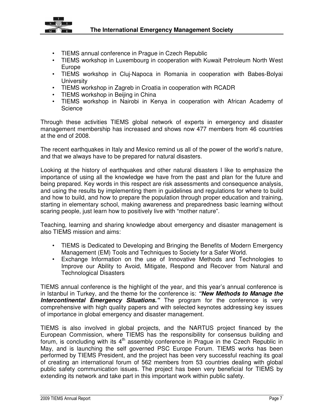

- TIEMS annual conference in Prague in Czech Republic
- TIEMS workshop in Luxembourg in cooperation with Kuwait Petroleum North West Europe
- TIEMS workshop in Cluj-Napoca in Romania in cooperation with Babes-Bolyai **University**
- TIEMS workshop in Zagreb in Croatia in cooperation with RCADR
- TIEMS workshop in Beijing in China
- TIEMS workshop in Nairobi in Kenya in cooperation with African Academy of **Science**

Through these activities TIEMS global network of experts in emergency and disaster management membership has increased and shows now 477 members from 46 countries at the end of 2008.

The recent earthquakes in Italy and Mexico remind us all of the power of the world's nature, and that we always have to be prepared for natural disasters.

Looking at the history of earthquakes and other natural disasters I like to emphasize the importance of using all the knowledge we have from the past and plan for the future and being prepared. Key words in this respect are risk assessments and consequence analysis, and using the results by implementing them in guidelines and regulations for where to build and how to build, and how to prepare the population through proper education and training, starting in elementary school, making awareness and preparedness basic learning without scaring people, just learn how to positively live with "mother nature".

Teaching, learning and sharing knowledge about emergency and disaster management is also TIEMS mission and aims:

- TIEMS is Dedicated to Developing and Bringing the Benefits of Modern Emergency Management (EM) Tools and Techniques to Society for a Safer World.
- Exchange Information on the use of Innovative Methods and Technologies to Improve our Ability to Avoid, Mitigate, Respond and Recover from Natural and Technological Disasters

TIEMS annual conference is the highlight of the year, and this year's annual conference is in Istanbul in Turkey, and the theme for the conference is: **"New Methods to Manage the Intercontinental Emergency Situations.**" The program for the conference is very comprehensive with high quality papers and with selected keynotes addressing key issues of importance in global emergency and disaster management.

TIEMS is also involved in global projects, and the NARTUS project financed by the European Commission, where TIEMS has the responsibility for consensus building and forum, is concluding with its 4th assembly conference in Prague in the Czech Republic in May, and is launching the self governed PSC Europe Forum. TIEMS works has been performed by TIEMS President, and the project has been very successful reaching its goal of creating an international forum of 562 members from 53 countries dealing with global public safety communication issues. The project has been very beneficial for TIEMS by extending its network and take part in this important work within public safety.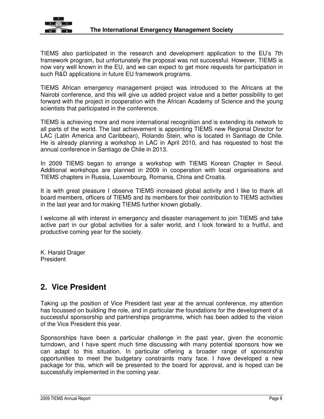

TIEMS also participated in the research and development application to the EU's 7th framework program, but unfortunately the proposal was not successful. However, TIEMS is now very well known in the EU, and we can expect to get more requests for participation in such R&D applications in future EU framework programs.

TIEMS African emergency management project was introduced to the Africans at the Nairobi conference, and this will give us added project value and a better possibility to get forward with the project in cooperation with the African Academy of Science and the young scientists that participated in the conference.

TIEMS is achieving more and more international recognition and is extending its network to all parts of the world. The last achievement is appointing TIEMS new Regional Director for LAC (Latin America and Caribbean), Rolando Stein, who is located in Santiago de Chile. He is already planning a workshop in LAC in April 2010, and has requested to host the annual conference in Santiago de Chile in 2013.

In 2009 TIEMS began to arrange a workshop with TIEMS Korean Chapter in Seoul. Additional workshops are planned in 2009 in cooperation with local organisations and TIEMS chapters in Russia, Luxembourg, Romania, China and Croatia.

It is with great pleasure I observe TIEMS increased global activity and I like to thank all board members, officers of TIEMS and its members for their contribution to TIEMS activities in the last year and for making TIEMS further known globally.

I welcome all with interest in emergency and disaster management to join TIEMS and take active part in our global activities for a safer world, and I look forward to a fruitful, and productive coming year for the society.

K. Harald Drager President

### **2. Vice President**

Taking up the position of Vice President last year at the annual conference, my attention has focussed on building the role, and in particular the foundations for the development of a successful sponsorship and partnerships programme, which has been added to the vision of the Vice President this year.

Sponsorships have been a particular challenge in the past year, given the economic turndown, and I have spent much time discussing with many potential sponsors how we can adapt to this situation. In particular offering a broader range of sponsorship opportunities to meet the budgetary constraints many face. I have developed a new package for this, which will be presented to the board for approval, and is hoped can be successfully implemented in the coming year.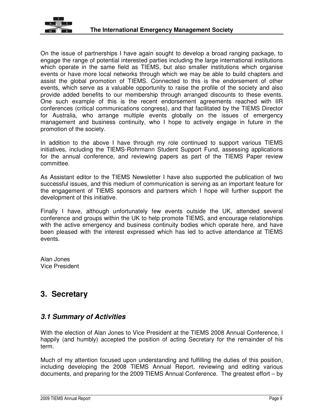

On the issue of partnerships I have again sought to develop a broad ranging package, to engage the range of potential interested parties including the large international institutions which operate in the same field as TIEMS, but also smaller institutions which organise events or have more local networks through which we may be able to build chapters and assist the global promotion of TIEMS. Connected to this is the endorsement of other events, which serve as a valuable opportunity to raise the profile of the society and also provide added benefits to our membership through arranged discounts to these events. One such example of this is the recent endorsement agreements reached with IIR conferences (critical communications congress), and that facilitated by the TIEMS Director for Australia, who arrange multiple events globally on the issues of emergency management and business continuity, who I hope to actively engage in future in the promotion of the society.

In addition to the above I have through my role continued to support various TIEMS initiatives, including the TIEMS-Rohrmann Student Support Fund, assessing applications for the annual conference, and reviewing papers as part of the TIEMS Paper review committee.

As Assistant editor to the TIEMS Newsletter I have also supported the publication of two successful issues, and this medium of communication is serving as an important feature for the engagement of TIEMS sponsors and partners which I hope will further support the development of this initiative.

Finally I have, although unfortunately few events outside the UK, attended several conference and groups within the UK to help promote TIEMS, and encourage relationships with the active emergency and business continuity bodies which operate here, and have been pleased with the interest expressed which has led to active attendance at TIEMS events.

Alan Jones Vice President

## **3. Secretary**

#### **3.1 Summary of Activities**

With the election of Alan Jones to Vice President at the TIEMS 2008 Annual Conference, I happily (and humbly) accepted the position of acting Secretary for the remainder of his term.

Much of my attention focused upon understanding and fulfilling the duties of this position, including developing the 2008 TIEMS Annual Report, reviewing and editing various documents, and preparing for the 2009 TIEMS Annual Conference. The greatest effort – by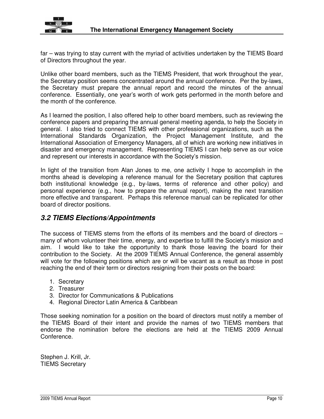

far – was trying to stay current with the myriad of activities undertaken by the TIEMS Board of Directors throughout the year.

Unlike other board members, such as the TIEMS President, that work throughout the year, the Secretary position seems concentrated around the annual conference. Per the by-laws, the Secretary must prepare the annual report and record the minutes of the annual conference. Essentially, one year's worth of work gets performed in the month before and the month of the conference.

As I learned the position, I also offered help to other board members, such as reviewing the conference papers and preparing the annual general meeting agenda, to help the Society in general. I also tried to connect TIEMS with other professional organizations, such as the International Standards Organization, the Project Management Institute, and the International Association of Emergency Managers, all of which are working new initiatives in disaster and emergency management. Representing TIEMS I can help serve as our voice and represent our interests in accordance with the Society's mission.

In light of the transition from Alan Jones to me, one activity I hope to accomplish in the months ahead is developing a reference manual for the Secretary position that captures both institutional knowledge (e.g., by-laws, terms of reference and other policy) and personal experience (e.g., how to prepare the annual report), making the next transition more effective and transparent. Perhaps this reference manual can be replicated for other board of director positions.

#### **3.2 TIEMS Elections/Appointments**

The success of TIEMS stems from the efforts of its members and the board of directors – many of whom volunteer their time, energy, and expertise to fulfill the Society's mission and aim. I would like to take the opportunity to thank those leaving the board for their contribution to the Society. At the 2009 TIEMS Annual Conference, the general assembly will vote for the following positions which are or will be vacant as a result as those in post reaching the end of their term or directors resigning from their posts on the board:

- 1. Secretary
- 2. Treasurer
- 3. Director for Communications & Publications
- 4. Regional Director Latin America & Caribbean

Those seeking nomination for a position on the board of directors must notify a member of the TIEMS Board of their intent and provide the names of two TIEMS members that endorse the nomination before the elections are held at the TIEMS 2009 Annual Conference.

Stephen J. Krill, Jr. TIEMS Secretary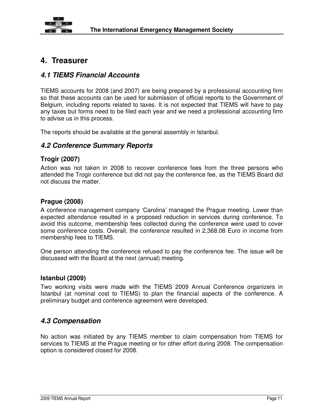

### **4. Treasurer**

#### **4.1 TIEMS Financial Accounts**

TIEMS accounts for 2008 (and 2007) are being prepared by a professional accounting firm so that these accounts can be used for submission of official reports to the Government of Belgium, including reports related to taxes. It is not expected that TIEMS will have to pay any taxes but forms need to be filed each year and we need a professional accounting firm to advise us in this process.

The reports should be available at the general assembly in Istanbul.

#### **4.2 Conference Summary Reports**

#### **Trogir (2007)**

Action was not taken in 2008 to recover conference fees from the three persons who attended the Trogir conference but did not pay the conference fee, as the TIEMS Board did not discuss the matter.

#### **Prague (2008)**

A conference management company 'Carolina' managed the Prague meeting. Lower than expected attendance resulted in a proposed reduction in services during conference. To avoid this outcome, membership fees collected during the conference were used to cover some conference costs. Overall, the conference resulted in 2,368.08 Euro in income from membership fees to TIEMS.

One person attending the conference refused to pay the conference fee. The issue will be discussed with the Board at the next (annual) meeting.

#### **Istanbul (2009)**

Two working visits were made with the TIEMS 2009 Annual Conference organizers in Istanbul (at nominal cost to TIEMS) to plan the financial aspects of the conference. A preliminary budget and conference agreement were developed.

#### **4.3 Compensation**

No action was initiated by any TIEMS member to claim compensation from TIEMS for services to TIEMS at the Prague meeting or for other effort during 2008. The compensation option is considered closed for 2008.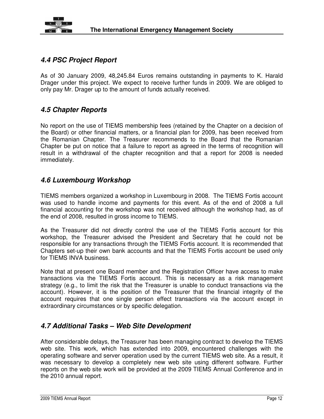

#### **4.4 PSC Project Report**

As of 30 January 2009, 48,245.84 Euros remains outstanding in payments to K. Harald Drager under this project. We expect to receive further funds in 2009. We are obliged to only pay Mr. Drager up to the amount of funds actually received.

#### **4.5 Chapter Reports**

No report on the use of TIEMS membership fees (retained by the Chapter on a decision of the Board) or other financial matters, or a financial plan for 2009, has been received from the Romanian Chapter. The Treasurer recommends to the Board that the Romanian Chapter be put on notice that a failure to report as agreed in the terms of recognition will result in a withdrawal of the chapter recognition and that a report for 2008 is needed immediately.

#### **4.6 Luxembourg Workshop**

TIEMS members organized a workshop in Luxembourg in 2008. The TIEMS Fortis account was used to handle income and payments for this event. As of the end of 2008 a full financial accounting for the workshop was not received although the workshop had, as of the end of 2008, resulted in gross income to TIEMS.

As the Treasurer did not directly control the use of the TIEMS Fortis account for this workshop, the Treasurer advised the President and Secretary that he could not be responsible for any transactions through the TIEMS Fortis account. It is recommended that Chapters set-up their own bank accounts and that the TIEMS Fortis account be used only for TIEMS INVA business.

Note that at present one Board member and the Registration Officer have access to make transactions via the TIEMS Fortis account. This is necessary as a risk management strategy (e.g., to limit the risk that the Treasurer is unable to conduct transactions via the account). However, it is the position of the Treasurer that the financial integrity of the account requires that one single person effect transactions via the account except in extraordinary circumstances or by specific delegation.

#### **4.7 Additional Tasks – Web Site Development**

After considerable delays, the Treasurer has been managing contract to develop the TIEMS web site. This work, which has extended into 2009, encountered challenges with the operating software and server operation used by the current TIEMS web site. As a result, it was necessary to develop a completely new web site using different software. Further reports on the web site work will be provided at the 2009 TIEMS Annual Conference and in the 2010 annual report.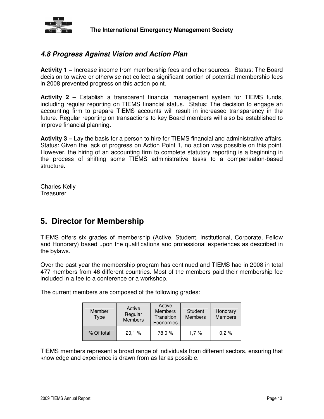

#### **4.8 Progress Against Vision and Action Plan**

**Activity 1 –** Increase income from membership fees and other sources. Status: The Board decision to waive or otherwise not collect a significant portion of potential membership fees in 2008 prevented progress on this action point.

**Activity 2 –** Establish a transparent financial management system for TIEMS funds, including regular reporting on TIEMS financial status. Status: The decision to engage an accounting firm to prepare TIEMS accounts will result in increased transparency in the future. Regular reporting on transactions to key Board members will also be established to improve financial planning.

**Activity 3 –** Lay the basis for a person to hire for TIEMS financial and administrative affairs. Status: Given the lack of progress on Action Point 1, no action was possible on this point. However, the hiring of an accounting firm to complete statutory reporting is a beginning in the process of shifting some TIEMS administrative tasks to a compensation-based structure.

Charles Kelly **Treasurer** 

## **5. Director for Membership**

TIEMS offers six grades of membership (Active, Student, Institutional, Corporate, Fellow and Honorary) based upon the qualifications and professional experiences as described in the bylaws.

Over the past year the membership program has continued and TIEMS had in 2008 in total 477 members from 46 different countries. Most of the members paid their membership fee included in a fee to a conference or a workshop.

The current members are composed of the following grades:

| Member<br>Type | Active<br>Regular<br><b>Members</b> | Active<br><b>Members</b><br>Transition<br>Economies | Student<br><b>Members</b> | Honorary<br><b>Members</b> |
|----------------|-------------------------------------|-----------------------------------------------------|---------------------------|----------------------------|
| % Of total     | 20,1%                               | 78,0 %                                              | 1.7%                      | $0.2 \%$                   |

TIEMS members represent a broad range of individuals from different sectors, ensuring that knowledge and experience is drawn from as far as possible.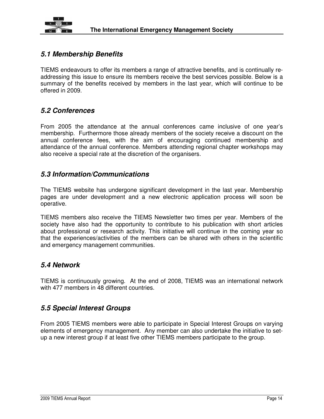

#### **5.1 Membership Benefits**

TIEMS endeavours to offer its members a range of attractive benefits, and is continually readdressing this issue to ensure its members receive the best services possible. Below is a summary of the benefits received by members in the last year, which will continue to be offered in 2009.

#### **5.2 Conferences**

From 2005 the attendance at the annual conferences came inclusive of one year's membership. Furthermore those already members of the society receive a discount on the annual conference fees, with the aim of encouraging continued membership and attendance of the annual conference. Members attending regional chapter workshops may also receive a special rate at the discretion of the organisers.

#### **5.3 Information/Communications**

The TIEMS website has undergone significant development in the last year. Membership pages are under development and a new electronic application process will soon be operative.

TIEMS members also receive the TIEMS Newsletter two times per year. Members of the society have also had the opportunity to contribute to his publication with short articles about professional or research activity. This initiative will continue in the coming year so that the experiences/activities of the members can be shared with others in the scientific and emergency management communities.

#### **5.4 Network**

TIEMS is continuously growing. At the end of 2008, TIEMS was an international network with 477 members in 48 different countries.

#### **5.5 Special Interest Groups**

From 2005 TIEMS members were able to participate in Special Interest Groups on varying elements of emergency management. Any member can also undertake the initiative to setup a new interest group if at least five other TIEMS members participate to the group.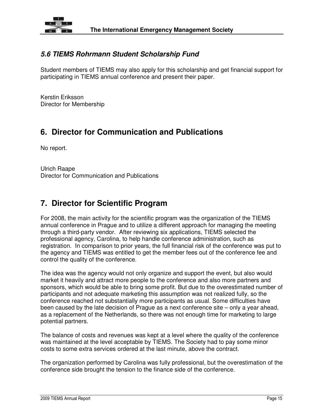

#### **5.6 TIEMS Rohrmann Student Scholarship Fund**

Student members of TIEMS may also apply for this scholarship and get financial support for participating in TIEMS annual conference and present their paper.

Kerstin Eriksson Director for Membership

## **6. Director for Communication and Publications**

No report.

Ulrich Raape Director for Communication and Publications

## **7. Director for Scientific Program**

For 2008, the main activity for the scientific program was the organization of the TIEMS annual conference in Prague and to utilize a different approach for managing the meeting through a third-party vendor. After reviewing six applications, TIEMS selected the professional agency, Carolina, to help handle conference administration, such as registration. In comparison to prior years, the full financial risk of the conference was put to the agency and TIEMS was entitled to get the member fees out of the conference fee and control the quality of the conference.

The idea was the agency would not only organize and support the event, but also would market it heavily and attract more people to the conference and also more partners and sponsors, which would be able to bring some profit. But due to the overestimated number of participants and not adequate marketing this assumption was not realized fully, so the conference reached not substantially more participants as usual. Some difficulties have been caused by the late decision of Prague as a next conference site – only a year ahead, as a replacement of the Netherlands, so there was not enough time for marketing to large potential partners.

The balance of costs and revenues was kept at a level where the quality of the conference was maintained at the level acceptable by TIEMS. The Society had to pay some minor costs to some extra services ordered at the last minute, above the contract.

The organization performed by Carolina was fully professional, but the overestimation of the conference side brought the tension to the finance side of the conference.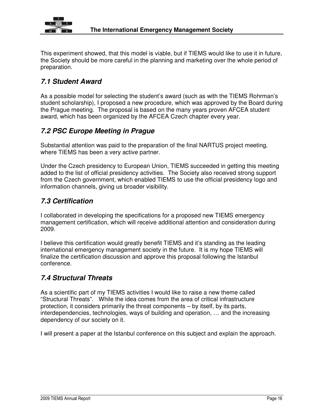

This experiment showed, that this model is viable, but if TIEMS would like to use it in future, the Society should be more careful in the planning and marketing over the whole period of preparation.

### **7.1 Student Award**

As a possible model for selecting the student's award (such as with the TIEMS Rohrman's student scholarship), I proposed a new procedure, which was approved by the Board during the Prague meeting. The proposal is based on the many years proven AFCEA student award, which has been organized by the AFCEA Czech chapter every year.

### **7.2 PSC Europe Meeting in Prague**

Substantial attention was paid to the preparation of the final NARTUS project meeting, where TIEMS has been a very active partner.

Under the Czech presidency to European Union, TIEMS succeeded in getting this meeting added to the list of official presidency activities. The Society also received strong support from the Czech government, which enabled TIEMS to use the official presidency logo and information channels, giving us broader visibility.

### **7.3 Certification**

I collaborated in developing the specifications for a proposed new TIEMS emergency management certification, which will receive additional attention and consideration during 2009.

I believe this certification would greatly benefit TIEMS and it's standing as the leading international emergency management society in the future. It is my hope TIEMS will finalize the certification discussion and approve this proposal following the Istanbul conference.

#### **7.4 Structural Threats**

As a scientific part of my TIEMS activities I would like to raise a new theme called "Structural Threats". While the idea comes from the area of critical infrastructure protection, it considers primarily the threat components – by itself, by its parts, interdependencies, technologies, ways of building and operation, … and the increasing dependency of our society on it.

I will present a paper at the Istanbul conference on this subject and explain the approach.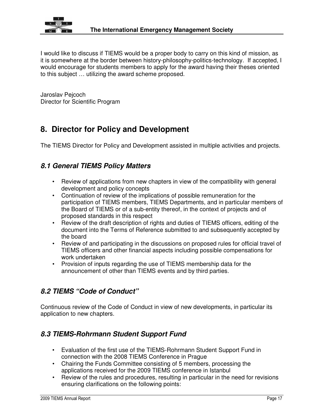

I would like to discuss if TIEMS would be a proper body to carry on this kind of mission, as it is somewhere at the border between history-philosophy-politics-technology. If accepted, I would encourage for students members to apply for the award having their theses oriented to this subject … utilizing the award scheme proposed.

Jaroslav Pejcoch Director for Scientific Program

## **8. Director for Policy and Development**

The TIEMS Director for Policy and Development assisted in multiple activities and projects.

#### **8.1 General TIEMS Policy Matters**

- Review of applications from new chapters in view of the compatibility with general development and policy concepts
- Continuation of review of the implications of possible remuneration for the participation of TIEMS members, TIEMS Departments, and in particular members of the Board of TIEMS or of a sub-entity thereof, in the context of projects and of proposed standards in this respect
- Review of the draft description of rights and duties of TIEMS officers, editing of the document into the Terms of Reference submitted to and subsequently accepted by the board
- Review of and participating in the discussions on proposed rules for official travel of TIEMS officers and other financial aspects including possible compensations for work undertaken
- Provision of inputs regarding the use of TIEMS membership data for the announcement of other than TIEMS events and by third parties.

### **8.2 TIEMS "Code of Conduct"**

Continuous review of the Code of Conduct in view of new developments, in particular its application to new chapters.

#### **8.3 TIEMS-Rohrmann Student Support Fund**

- Evaluation of the first use of the TIEMS-Rohrmann Student Support Fund in connection with the 2008 TIEMS Conference in Prague
- Chairing the Funds Committee consisting of 5 members, processing the applications received for the 2009 TIEMS conference in Istanbul
- Review of the rules and procedures, resulting in particular in the need for revisions ensuring clarifications on the following points: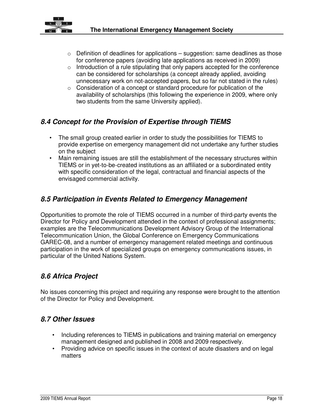

- $\circ$  Definition of deadlines for applications suggestion: same deadlines as those for conference papers (avoiding late applications as received in 2009)
- o Introduction of a rule stipulating that only papers accepted for the conference can be considered for scholarships (a concept already applied, avoiding unnecessary work on not-accepted papers, but so far not stated in the rules)
- o Consideration of a concept or standard procedure for publication of the availability of scholarships (this following the experience in 2009, where only two students from the same University applied).

### **8.4 Concept for the Provision of Expertise through TIEMS**

- The small group created earlier in order to study the possibilities for TIEMS to provide expertise on emergency management did not undertake any further studies on the subject
- Main remaining issues are still the establishment of the necessary structures within TIEMS or in yet-to-be-created institutions as an affiliated or a subordinated entity with specific consideration of the legal, contractual and financial aspects of the envisaged commercial activity.

### **8.5 Participation in Events Related to Emergency Management**

Opportunities to promote the role of TIEMS occurred in a number of third-party events the Director for Policy and Development attended in the context of professional assignments; examples are the Telecommunications Development Advisory Group of the International Telecommunication Union, the Global Conference on Emergency Communications GAREC-08, and a number of emergency management related meetings and continuous participation in the work of specialized groups on emergency communications issues, in particular of the United Nations System.

### **8.6 Africa Project**

No issues concerning this project and requiring any response were brought to the attention of the Director for Policy and Development.

#### **8.7 Other Issues**

- Including references to TIEMS in publications and training material on emergency management designed and published in 2008 and 2009 respectively.
- Providing advice on specific issues in the context of acute disasters and on legal matters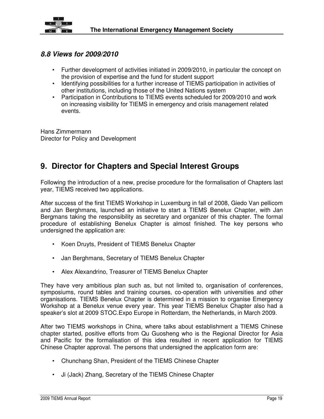

#### **8.8 Views for 2009/2010**

- Further development of activities initiated in 2009/2010, in particular the concept on the provision of expertise and the fund for student support
- Identifying possibilities for a further increase of TIEMS participation in activities of other institutions, including those of the United Nations system
- Participation in Contributions to TIEMS events scheduled for 2009/2010 and work on increasing visibility for TIEMS in emergency and crisis management related events.

Hans Zimmermann Director for Policy and Development

## **9. Director for Chapters and Special Interest Groups**

Following the introduction of a new, precise procedure for the formalisation of Chapters last year, TIEMS received two applications.

After success of the first TIEMS Workshop in Luxemburg in fall of 2008, Giedo Van pellicom and Jan Berghmans, launched an initiative to start a TIEMS Benelux Chapter, with Jan Bergmans taking the responsibility as secretary and organizer of this chapter. The formal procedure of establishing Benelux Chapter is almost finished. The key persons who undersigned the application are:

- Koen Druyts, President of TIEMS Benelux Chapter
- Jan Berghmans, Secretary of TIEMS Benelux Chapter
- Alex Alexandrino, Treasurer of TIEMS Benelux Chapter

They have very ambitious plan such as, but not limited to, organisation of conferences, symposiums, round tables and training courses, co-operation with universities and other organisations. TIEMS Benelux Chapter is determined in a mission to organise Emergency Workshop at a Benelux venue every year. This year TIEMS Benelux Chapter also had a speaker's slot at 2009 STOC.Expo Europe in Rotterdam, the Netherlands, in March 2009.

After two TIEMS workshops in China, where talks about establishment a TIEMS Chinese chapter started, positive efforts from Qu Guosheng who is the Regional Director for Asia and Pacific for the formalisation of this idea resulted in recent application for TIEMS Chinese Chapter approval. The persons that undersigned the application form are:

- Chunchang Shan, President of the TIEMS Chinese Chapter
- Ji (Jack) Zhang, Secretary of the TIEMS Chinese Chapter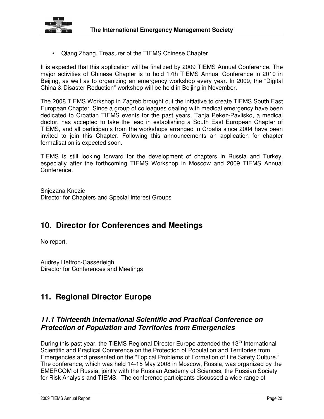

• Qiang Zhang, Treasurer of the TIEMS Chinese Chapter

It is expected that this application will be finalized by 2009 TIEMS Annual Conference. The major activities of Chinese Chapter is to hold 17th TIEMS Annual Conference in 2010 in Beijing, as well as to organizing an emergency workshop every year. In 2009, the "Digital China & Disaster Reduction" workshop will be held in Beijing in November.

The 2008 TIEMS Workshop in Zagreb brought out the initiative to create TIEMS South East European Chapter. Since a group of colleagues dealing with medical emergency have been dedicated to Croatian TIEMS events for the past years, Tanja Pekez-Pavlisko, a medical doctor, has accepted to take the lead in establishing a South East European Chapter of TIEMS, and all participants from the workshops arranged in Croatia since 2004 have been invited to join this Chapter. Following this announcements an application for chapter formalisation is expected soon.

TIEMS is still looking forward for the development of chapters in Russia and Turkey, especially after the forthcoming TIEMS Workshop in Moscow and 2009 TIEMS Annual Conference.

Snjezana Knezic Director for Chapters and Special Interest Groups

## **10. Director for Conferences and Meetings**

No report.

Audrey Heffron-Casserleigh Director for Conferences and Meetings

### **11. Regional Director Europe**

#### **11.1 Thirteenth International Scientific and Practical Conference on Protection of Population and Territories from Emergencies**

During this past year, the TIEMS Regional Director Europe attended the 13<sup>th</sup> International Scientific and Practical Conference on the Protection of Population and Territories from Emergencies and presented on the "Topical Problems of Formation of Life Safety Culture." The conference, which was held 14-15 May 2008 in Moscow, Russia, was organized by the EMERCOM of Russia, jointly with the Russian Academy of Sciences, the Russian Society for Risk Analysis and TIEMS. The conference participants discussed a wide range of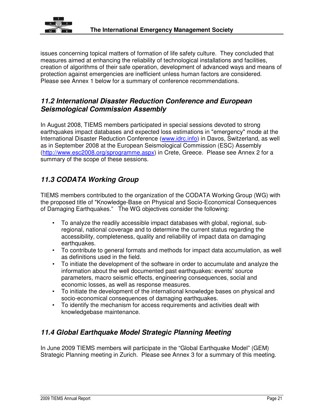

issues concerning topical matters of formation of life safety culture. They concluded that measures aimed at enhancing the reliability of technological installations and facilities, creation of algorithms of their safe operation, development of advanced ways and means of protection against emergencies are inefficient unless human factors are considered. Please see Annex 1 below for a summary of conference recommendations.

#### **11.2 International Disaster Reduction Conference and European Seismological Commission Assembly**

In August 2008, TIEMS members participated in special sessions devoted to strong earthquakes impact databases and expected loss estimations in "emergency" mode at the International Disaster Reduction Conference (www.idrc.info) in Davos, Switzerland, as well as in September 2008 at the European Seismological Commission (ESC) Assembly (http://www.esc2008.org/sprogramme.aspx) in Crete, Greece. Please see Annex 2 for a summary of the scope of these sessions.

### **11.3 CODATA Working Group**

TIEMS members contributed to the organization of the CODATA Working Group (WG) with the proposed title of "Knowledge-Base on Physical and Socio-Economical Consequences of Damaging Earthquakes." The WG objectives consider the following:

- To analyze the readily accessible impact databases with global, regional, subregional, national coverage and to determine the current status regarding the accessibility, completeness, quality and reliability of impact data on damaging earthquakes.
- To contribute to general formats and methods for impact data accumulation, as well as definitions used in the field.
- To initiate the development of the software in order to accumulate and analyze the information about the well documented past earthquakes: events' source parameters, macro seismic effects, engineering consequences, social and economic losses, as well as response measures.
- To initiate the development of the international knowledge bases on physical and socio-economical consequences of damaging earthquakes.
- To identify the mechanism for access requirements and activities dealt with knowledgebase maintenance.

### **11.4 Global Earthquake Model Strategic Planning Meeting**

In June 2009 TIEMS members will participate in the "Global Earthquake Model" (GEM) Strategic Planning meeting in Zurich. Please see Annex 3 for a summary of this meeting.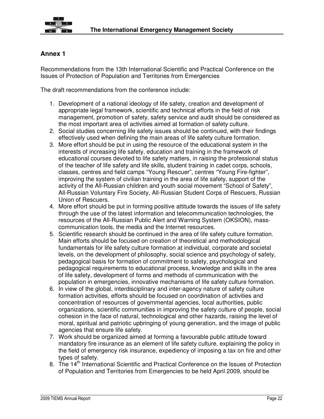

#### **Annex 1**

Recommendations from the 13th International Scientific and Practical Conference on the Issues of Protection of Population and Territories from Emergencies

The draft recommendations from the conference include:

- 1. Development of a national ideology of life safety, creation and development of appropriate legal framework, scientific and technical efforts in the field of risk management, promotion of safety, safety service and audit should be considered as the most important area of activities aimed at formation of safety culture.
- 2. Social studies concerning life safety issues should be continued, with their findings effectively used when defining the main areas of life safety culture formation.
- 3. More effort should be put in using the resource of the educational system in the interests of increasing life safety, education and training in the framework of educational courses devoted to life safety matters, in raising the professional status of the teacher of life safety and life skills, student training in cadet corps, schools, classes, centres and field camps "Young Rescuer", centres "Young Fire-fighter", improving the system of civilian training in the area of life safety, support of the activity of the All-Russian children and youth social movement "School of Safety", All-Russian Voluntary Fire Society, All-Russian Student Corps of Rescuers, Russian Union of Rescuers.
- 4. More effort should be put in forming positive attitude towards the issues of life safety through the use of the latest information and telecommunication technologies, the resources of the All-Russian Public Alert and Warning System (OKSION), masscommunication tools, the media and the Internet resources.
- 5. Scientific research should be continued in the area of life safety culture formation. Main efforts should be focused on creation of theoretical and methodological fundamentals for life safety culture formation at individual, corporate and societal levels, on the development of philosophy, social science and psychology of safety, pedagogical basis for formation of commitment to safety, psychological and pedagogical requirements to educational process, knowledge and skills in the area of life safety, development of forms and methods of communication with the population in emergencies, innovative mechanisms of life safety culture formation.
- 6. In view of the global, interdisciplinary and inter-agency nature of safety culture formation activities, efforts should be focused on coordination of activities and concentration of resources of governmental agencies, local authorities, public organizations, scientific communities in improving the safety culture of people, social cohesion in the face of natural, technological and other hazards, raising the level of moral, spiritual and patriotic upbringing of young generation, and the image of public agencies that ensure life safety.
- 7. Work should be organized aimed at forming a favourable public attitude toward mandatory fire insurance as an element of life safety culture, explaining the policy in the field of emergency risk insurance, expediency of imposing a tax on fire and other types of safety.
- 8. The 14<sup>th</sup> International Scientific and Practical Conference on the Issues of Protection of Population and Territories from Emergencies to be held April 2009, should be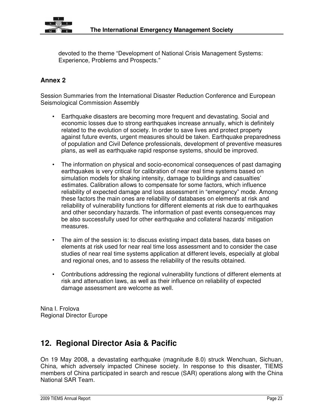

devoted to the theme "Development of National Crisis Management Systems: Experience, Problems and Prospects."

#### **Annex 2**

Session Summaries from the International Disaster Reduction Conference and European Seismological Commission Assembly

- Earthquake disasters are becoming more frequent and devastating. Social and economic losses due to strong earthquakes increase annually, which is definitely related to the evolution of society. In order to save lives and protect property against future events, urgent measures should be taken. Earthquake preparedness of population and Civil Defence professionals, development of preventive measures plans, as well as earthquake rapid response systems, should be improved.
- The information on physical and socio-economical consequences of past damaging earthquakes is very critical for calibration of near real time systems based on simulation models for shaking intensity, damage to buildings and casualties' estimates. Calibration allows to compensate for some factors, which influence reliability of expected damage and loss assessment in "emergency" mode. Among these factors the main ones are reliability of databases on elements at risk and reliability of vulnerability functions for different elements at risk due to earthquakes and other secondary hazards. The information of past events consequences may be also successfully used for other earthquake and collateral hazards' mitigation measures.
- The aim of the session is: to discuss existing impact data bases, data bases on elements at risk used for near real time loss assessment and to consider the case studies of near real time systems application at different levels, especially at global and regional ones, and to assess the reliability of the results obtained.
- Contributions addressing the regional vulnerability functions of different elements at risk and attenuation laws, as well as their influence on reliability of expected damage assessment are welcome as well.

Nina I. Frolova Regional Director Europe

## **12. Regional Director Asia & Pacific**

On 19 May 2008, a devastating earthquake (magnitude 8.0) struck Wenchuan, Sichuan, China, which adversely impacted Chinese society. In response to this disaster, TIEMS members of China participated in search and rescue (SAR) operations along with the China National SAR Team.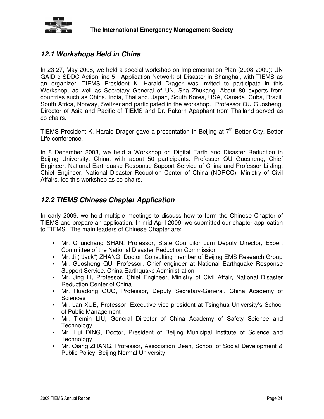

#### **12.1 Workshops Held in China**

In 23-27, May 2008, we held a special workshop on Implementation Plan (2008-2009): UN GAID e-SDDC Action line 5: Application Network of Disaster in Shanghai, with TIEMS as an organizer. TIEMS President K. Harald Drager was invited to participate in this Workshop, as well as Secretary General of UN, Sha Zhukang. About 80 experts from countries such as China, India, Thailand, Japan, South Korea, USA, Canada, Cuba, Brazil, South Africa, Norway, Switzerland participated in the workshop. Professor QU Guosheng, Director of Asia and Pacific of TIEMS and Dr. Pakorn Apaphant from Thailand served as co-chairs.

TIEMS President K. Harald Drager gave a presentation in Beijing at  $7<sup>th</sup>$  Better City, Better Life conference.

In 8 December 2008, we held a Workshop on Digital Earth and Disaster Reduction in Beijing University, China, with about 50 participants. Professor QU Guosheng, Chief Engineer, National Earthquake Response Support Service of China and Professor Li Jing, Chief Engineer, National Disaster Reduction Center of China (NDRCC), Ministry of Civil Affairs, led this workshop as co-chairs.

#### **12.2 TIEMS Chinese Chapter Application**

In early 2009, we held multiple meetings to discuss how to form the Chinese Chapter of TIEMS and prepare an application. In mid-April 2009, we submitted our chapter application to TIEMS. The main leaders of Chinese Chapter are:

- Mr. Chunchang SHAN, Professor, State Councilor cum Deputy Director, Expert Committee of the National Disaster Reduction Commission
- Mr. Ji ("Jack") ZHANG, Doctor, Consulting member of Beijing EMS Research Group
- Mr. Guosheng QU, Professor, Chief engineer at National Earthquake Response Support Service, China Earthquake Administration
- Mr. Jing LI, Professor, Chief Engineer, Ministry of Civil Affair, National Disaster Reduction Center of China
- Mr. Huadong GUO, Professor, Deputy Secretary-General, China Academy of **Sciences**
- Mr. Lan XUE, Professor, Executive vice president at Tsinghua University's School of Public Management
- Mr. Tiemin LIU, General Director of China Academy of Safety Science and **Technology**
- Mr. Hui DING, Doctor, President of Beijing Municipal Institute of Science and **Technology**
- Mr. Qiang ZHANG, Professor, Association Dean, School of Social Development & Public Policy, Beijing Normal University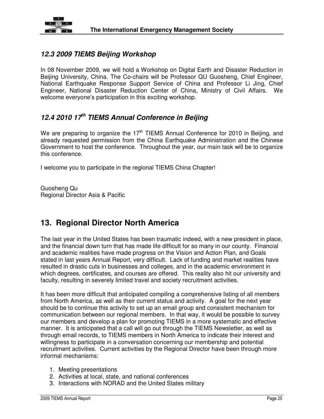

#### **12.3 2009 TIEMS Beijing Workshop**

In 08 November 2009, we will hold a Workshop on Digital Earth and Disaster Reduction in Beijing University, China. The Co-chairs will be Professor QU Guosheng, Chief Engineer, National Earthquake Response Support Service of China and Professor Li Jing, Chief Engineer, National Disaster Reduction Center of China, Ministry of Civil Affairs. We welcome everyone's participation in this exciting workshop.

### **12.4 2010 17th TIEMS Annual Conference in Beijing**

We are preparing to organize the  $17<sup>th</sup>$  TIEMS Annual Conference for 2010 in Beijing, and already requested permission from the China Earthquake Administration and the Chinese Government to host the conference. Throughout the year, our main task will be to organize this conference.

I welcome you to participate in the regional TIEMS China Chapter!

Guosheng Qu Regional Director Asia & Pacific

## **13. Regional Director North America**

The last year in the United States has been traumatic indeed, with a new president in place, and the financial down turn that has made life difficult for so many in our county. Financial and academic realities have made progress on the Vision and Action Plan, and Goals stated in last years Annual Report, very difficult. Lack of funding and market realities have resulted in drastic cuts in businesses and colleges, and in the academic environment in which degrees, certificates, and courses are offered. This reality also hit our university and faculty, resulting in severely limited travel and society recruitment activities.

It has been more difficult that anticipated compiling a comprehensive listing of all members from North America, as well as their current status and activity. A goal for the next year should be to continue this activity to set up an email group and consistent mechanism for communication between our regional members. In that way, it would be possible to survey our members and develop a plan for promoting TIEMS in a more systematic and effective manner. It is anticipated that a call will go out through the TIEMS Newsletter, as well as through email records, to TIEMS members in North America to indicate their interest and willingness to participate in a conversation concerning our membership and potential recruitment activities. Current activities by the Regional Director have been through more informal mechanisms:

- 1. Meeting presentations
- 2. Activities at local, state, and national conferences
- 3. Interactions with NORAD and the United States military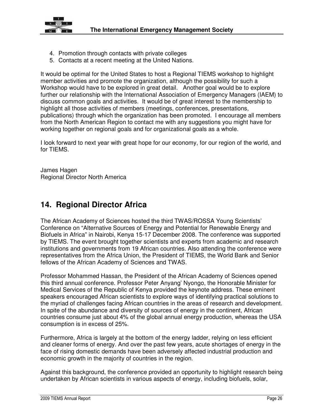

- 4. Promotion through contacts with private colleges
- 5. Contacts at a recent meeting at the United Nations.

It would be optimal for the United States to host a Regional TIEMS workshop to highlight member activities and promote the organization, although the possibility for such a Workshop would have to be explored in great detail. Another goal would be to explore further our relationship with the International Association of Emergency Managers (IAEM) to discuss common goals and activities. It would be of great interest to the membership to highlight all those activities of members (meetings, conferences, presentations, publications) through which the organization has been promoted. I encourage all members from the North American Region to contact me with any suggestions you might have for working together on regional goals and for organizational goals as a whole.

I look forward to next year with great hope for our economy, for our region of the world, and for TIEMS.

James Hagen Regional Director North America

### **14. Regional Director Africa**

The African Academy of Sciences hosted the third TWAS/ROSSA Young Scientists' Conference on "Alternative Sources of Energy and Potential for Renewable Energy and Biofuels in Africa" in Nairobi, Kenya 15-17 December 2008. The conference was supported by TIEMS. The event brought together scientists and experts from academic and research institutions and governments from 19 African countries. Also attending the conference were representatives from the Africa Union, the President of TIEMS, the World Bank and Senior fellows of the African Academy of Sciences and TWAS.

Professor Mohammed Hassan, the President of the African Academy of Sciences opened this third annual conference. Professor Peter Anyang' Nyongo, the Honorable Minister for Medical Services of the Republic of Kenya provided the keynote address. These eminent speakers encouraged African scientists to explore ways of identifying practical solutions to the myriad of challenges facing African countries in the areas of research and development. In spite of the abundance and diversity of sources of energy in the continent, African countries consume just about 4% of the global annual energy production, whereas the USA consumption is in excess of 25%.

Furthermore, Africa is largely at the bottom of the energy ladder, relying on less efficient and cleaner forms of energy. And over the past few years, acute shortages of energy in the face of rising domestic demands have been adversely affected industrial production and economic growth in the majority of countries in the region.

Against this background, the conference provided an opportunity to highlight research being undertaken by African scientists in various aspects of energy, including biofuels, solar,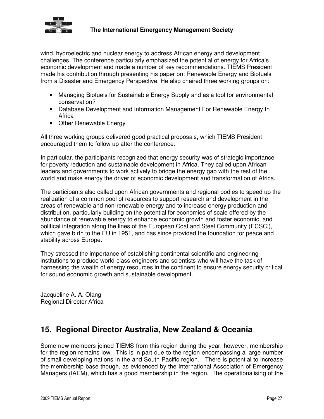

wind, hydroelectric and nuclear energy to address African energy and development challenges. The conference particularly emphasized the potential of energy for Africa's economic development and made a number of key recommendations. TIEMS President made his contribution through presenting his paper on: Renewable Energy and Biofuels from a Disaster and Emergency Perspective. He also chaired three working groups on:

- Managing Biofuels for Sustainable Energy Supply and as a tool for environmental conservation?
- Database Development and Information Management For Renewable Energy In Africa
- Other Renewable Energy

All three working groups delivered good practical proposals, which TIEMS President encouraged them to follow up after the conference.

In particular, the participants recognized that energy security was of strategic importance for poverty reduction and sustainable development in Africa. They called upon African leaders and governments to work actively to bridge the energy gap with the rest of the world and make energy the driver of economic development and transformation of Africa.

The participants also called upon African governments and regional bodies to speed up the realization of a common pool of resources to support research and development in the areas of renewable and non-renewable energy and to increase energy production and distribution, particularly building on the potential for economies of scale offered by the abundance of renewable energy to enhance economic growth and foster economic and political integration along the lines of the European Coal and Steel Community (ECSC|), which gave birth to the EU in 1951, and has since provided the foundation for peace and stability across Europe.

They stressed the importance of establishing continental scientific and engineering institutions to produce world-class engineers and scientists who will have the task of harnessing the wealth of energy resources in the continent to ensure energy security critical for sound economic growth and sustainable development.

Jacqueline A. A. Olang Regional Director Africa

## **15. Regional Director Australia, New Zealand & Oceania**

Some new members joined TIEMS from this region during the year, however, membership for the region remains low. This is in part due to the region encompassing a large number of small developing nations in the and South Pacific region. There is potential to increase the membership base though, as evidenced by the International Association of Emergency Managers (IAEM), which has a good membership in the region. The operationalising of the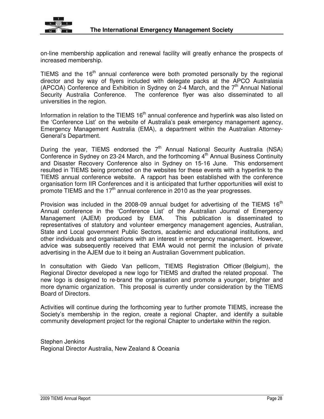

on-line membership application and renewal facility will greatly enhance the prospects of increased membership.

TIEMS and the  $16<sup>th</sup>$  annual conference were both promoted personally by the regional director and by way of flyers included with delegate packs at the APCO Australasia (APCOA) Conference and Exhibition in Sydney on  $2-4$  March, and the  $7<sup>th</sup>$  Annual National Security Australia Conference. The conference flyer was also disseminated to all universities in the region.

Information in relation to the TIEMS  $16<sup>th</sup>$  annual conference and hyperlink was also listed on the 'Conference List' on the website of Australia's peak emergency management agency, Emergency Management Australia (EMA), a department within the Australian Attorney-General's Department.

During the year, TIEMS endorsed the  $7<sup>th</sup>$  Annual National Security Australia (NSA) Conference in Sydney on 23-24 March, and the forthcoming 4<sup>th</sup> Annual Business Continuity and Disaster Recovery Conference also in Sydney on 15-16 June. This endorsement resulted in TIEMS being promoted on the websites for these events with a hyperlink to the TIEMS annual conference website. A rapport has been established with the conference organisation form IIR Conferences and it is anticipated that further opportunities will exist to promote TIEMS and the  $17<sup>th</sup>$  annual conference in 2010 as the year progresses.

Provision was included in the 2008-09 annual budget for advertising of the TIEMS  $16<sup>th</sup>$ Annual conference in the 'Conference List' of the Australian Journal of Emergency Management (AJEM) produced by EMA. This publication is disseminated to representatives of statutory and volunteer emergency management agencies, Australian, State and Local government Public Sectors, academic and educational institutions, and other individuals and organisations with an interest in emergency management. However, advice was subsequently received that EMA would not permit the inclusion of private advertising in the AJEM due to it being an Australian Government publication.

In consultation with Giedo Van pellicom, TIEMS Registration Officer (Belgium), the Regional Director developed a new logo for TIEMS and drafted the related proposal. The new logo is designed to re-brand the organisation and promote a younger, brighter and more dynamic organization. This proposal is currently under consideration by the TIEMS Board of Directors.

Activities will continue during the forthcoming year to further promote TIEMS, increase the Society's membership in the region, create a regional Chapter, and identify a suitable community development project for the regional Chapter to undertake within the region.

Stephen Jenkins Regional Director Australia, New Zealand & Oceania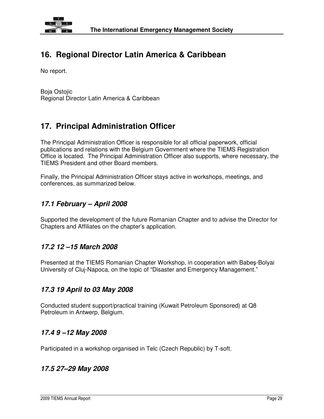

## **16. Regional Director Latin America & Caribbean**

No report.

Boja Ostojic Regional Director Latin America & Caribbean

## **17. Principal Administration Officer**

The Principal Administration Officer is responsible for all official paperwork, official publications and relations with the Belgium Government where the TIEMS Registration Office is located. The Principal Administration Officer also supports, where necessary, the TIEMS President and other Board members.

Finally, the Principal Administration Officer stays active in workshops, meetings, and conferences, as summarized below.

#### **17.1 February – April 2008**

Supported the development of the future Romanian Chapter and to advise the Director for Chapters and Affiliates on the chapter's application.

#### **17.2 12 –15 March 2008**

Presented at the TIEMS Romanian Chapter Workshop, in cooperation with Babeş-Bolyai University of Cluj-Napoca, on the topic of "Disaster and Emergency Management."

#### **17.3 19 April to 03 May 2008**

Conducted student support/practical training (Kuwait Petroleum Sponsored) at Q8 Petroleum in Antwerp, Belgium.

#### **17.4 9 –12 May 2008**

Participated in a workshop organised in Telc (Czech Republic) by T-soft.

#### **17.5 27–29 May 2008**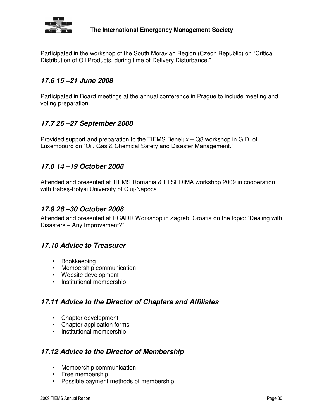

Participated in the workshop of the South Moravian Region (Czech Republic) on "Critical Distribution of Oil Products, during time of Delivery Disturbance."

#### **17.6 15 –21 June 2008**

Participated in Board meetings at the annual conference in Prague to include meeting and voting preparation.

#### **17.7 26 –27 September 2008**

Provided support and preparation to the TIEMS Benelux – Q8 workshop in G.D. of Luxembourg on "Oil, Gas & Chemical Safety and Disaster Management."

#### **17.8 14 –19 October 2008**

Attended and presented at TIEMS Romania & ELSEDIMA workshop 2009 in cooperation with Babeş-Bolyai University of Cluj-Napoca

#### **17.9 26 –30 October 2008**

Attended and presented at RCADR Workshop in Zagreb, Croatia on the topic: "Dealing with Disasters – Any Improvement?"

#### **17.10 Advice to Treasurer**

- Bookkeeping
- Membership communication
- Website development
- Institutional membership

#### **17.11 Advice to the Director of Chapters and Affiliates**

- Chapter development
- Chapter application forms
- Institutional membership

#### **17.12 Advice to the Director of Membership**

- Membership communication
- Free membership
- Possible payment methods of membership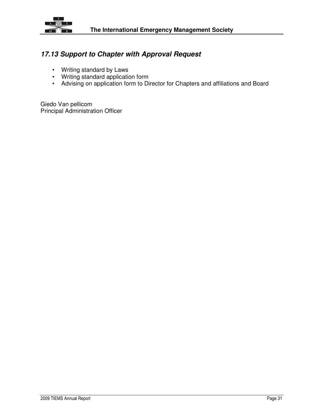

#### **17.13 Support to Chapter with Approval Request**

- Writing standard by Laws
- Writing standard application form
- Advising on application form to Director for Chapters and affiliations and Board

Giedo Van pellicom Principal Administration Officer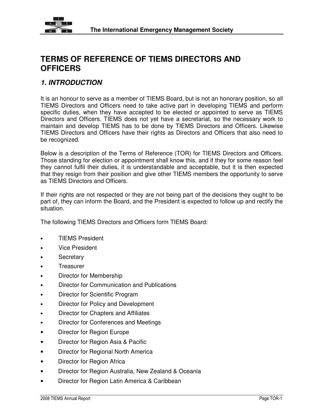

## **TERMS OF REFERENCE OF TIEMS DIRECTORS AND OFFICERS**

#### **1. INTRODUCTION**

It is an honour to serve as a member of TIEMS Board, but is not an honorary position, so all TIEMS Directors and Officers need to take active part in developing TIEMS and perform specific duties, when they have accepted to be elected or appointed to serve as TIEMS Directors and Officers. TIEMS does not yet have a secretariat, so the necessary work to maintain and develop TIEMS has to be done by TIEMS Directors and Officers. Likewise TIEMS Directors and Officers have their rights as Directors and Officers that also need to be recognized.

Below is a description of the Terms of Reference (TOR) for TIEMS Directors and Officers. Those standing for election or appointment shall know this, and if they for some reason feel they cannot fulfil their duties, it is understandable and acceptable, but it is then expected that they resign from their position and give other TIEMS members the opportunity to serve as TIEMS Directors and Officers.

If their rights are not respected or they are not being part of the decisions they ought to be part of, they can inform the Board, and the President is expected to follow up and rectify the situation.

The following TIEMS Directors and Officers form TIEMS Board:

- TIEMS President
- **Vice President**
- **Secretary**
- Treasurer
- Director for Membership
- Director for Communication and Publications
- Director for Scientific Program
- Director for Policy and Development
- Director for Chapters and Affiliates
- Director for Conferences and Meetings
- Director for Region Europe
- Director for Region Asia & Pacific
- Director for Regional North America
- Director for Region Africa
- Director for Region Australia, New Zealand & Oceania
- Director for Region Latin America & Caribbean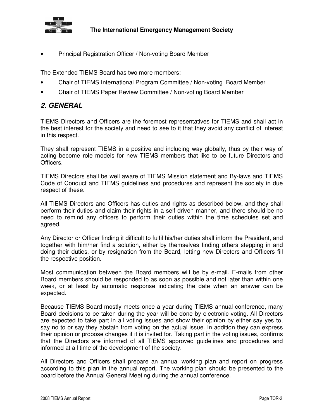

• Principal Registration Officer / Non-voting Board Member

The Extended TIEMS Board has two more members:

- Chair of TIEMS International Program Committee / Non-voting Board Member
- Chair of TIEMS Paper Review Committee / Non-voting Board Member

#### **2. GENERAL**

TIEMS Directors and Officers are the foremost representatives for TIEMS and shall act in the best interest for the society and need to see to it that they avoid any conflict of interest in this respect.

They shall represent TIEMS in a positive and including way globally, thus by their way of acting become role models for new TIEMS members that like to be future Directors and Officers.

TIEMS Directors shall be well aware of TIEMS Mission statement and By-laws and TIEMS Code of Conduct and TIEMS guidelines and procedures and represent the society in due respect of these.

All TIEMS Directors and Officers has duties and rights as described below, and they shall perform their duties and claim their rights in a self driven manner, and there should be no need to remind any officers to perform their duties within the time schedules set and agreed.

Any Director or Officer finding it difficult to fulfil his/her duties shall inform the President, and together with him/her find a solution, either by themselves finding others stepping in and doing their duties, or by resignation from the Board, letting new Directors and Officers fill the respective position.

Most communication between the Board members will be by e-mail. E-mails from other Board members should be responded to as soon as possible and not later than within one week, or at least by automatic response indicating the date when an answer can be expected.

Because TIEMS Board mostly meets once a year during TIEMS annual conference, many Board decisions to be taken during the year will be done by electronic voting. All Directors are expected to take part in all voting issues and show their opinion by either say yes to, say no to or say they abstain from voting on the actual issue. In addition they can express their opinion or propose changes if it is invited for. Taking part in the voting issues, confirms that the Directors are informed of all TIEMS approved guidelines and procedures and informed at all time of the development of the society.

All Directors and Officers shall prepare an annual working plan and report on progress according to this plan in the annual report. The working plan should be presented to the board before the Annual General Meeting during the annual conference.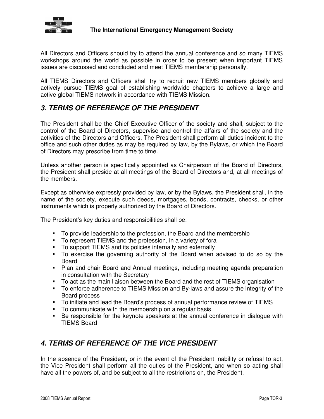

All Directors and Officers should try to attend the annual conference and so many TIEMS workshops around the world as possible in order to be present when important TIEMS issues are discussed and concluded and meet TIEMS membership personally.

All TIEMS Directors and Officers shall try to recruit new TIEMS members globally and actively pursue TIEMS goal of establishing worldwide chapters to achieve a large and active global TIEMS network in accordance with TIEMS Mission.

#### **3. TERMS OF REFERENCE OF THE PRESIDENT**

The President shall be the Chief Executive Officer of the society and shall, subject to the control of the Board of Directors, supervise and control the affairs of the society and the activities of the Directors and Officers. The President shall perform all duties incident to the office and such other duties as may be required by law, by the Bylaws, or which the Board of Directors may prescribe from time to time.

Unless another person is specifically appointed as Chairperson of the Board of Directors, the President shall preside at all meetings of the Board of Directors and, at all meetings of the members.

Except as otherwise expressly provided by law, or by the Bylaws, the President shall, in the name of the society, execute such deeds, mortgages, bonds, contracts, checks, or other instruments which is properly authorized by the Board of Directors.

The President's key duties and responsibilities shall be:

- To provide leadership to the profession, the Board and the membership
- To represent TIEMS and the profession, in a variety of fora
- To support TIEMS and its policies internally and externally
- To exercise the governing authority of the Board when advised to do so by the Board
- Plan and chair Board and Annual meetings, including meeting agenda preparation in consultation with the Secretary
- To act as the main liaison between the Board and the rest of TIEMS organisation
- To enforce adherence to TIEMS Mission and By-laws and assure the integrity of the Board process
- To initiate and lead the Board's process of annual performance review of TIEMS
- To communicate with the membership on a regular basis
- Be responsible for the keynote speakers at the annual conference in dialogue with TIEMS Board

#### **4. TERMS OF REFERENCE OF THE VICE PRESIDENT**

In the absence of the President, or in the event of the President inability or refusal to act, the Vice President shall perform all the duties of the President, and when so acting shall have all the powers of, and be subject to all the restrictions on, the President.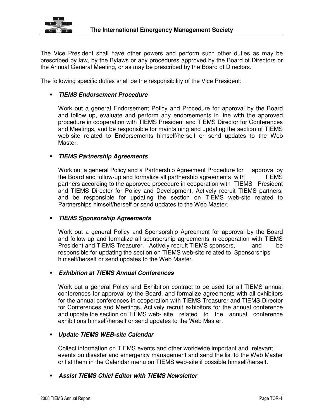

The Vice President shall have other powers and perform such other duties as may be prescribed by law, by the Bylaws or any procedures approved by the Board of Directors or the Annual General Meeting, or as may be prescribed by the Board of Directors.

The following specific duties shall be the responsibility of the Vice President:

#### **TIEMS Endorsement Procedure**

Work out a general Endorsement Policy and Procedure for approval by the Board and follow up, evaluate and perform any endorsements in line with the approved procedure in cooperation with TIEMS President and TIEMS Director for Conferences and Meetings, and be responsible for maintaining and updating the section of TIEMS web-site related to Endorsements himself/herself or send updates to the Web Master.

#### **TIEMS Partnership Agreements**

 Work out a general Policy and a Partnership Agreement Procedure for approval by the Board and follow-up and formalize all partnership agreements with TIEMS partners according to the approved procedure in cooperation with TIEMS President and TIEMS Director for Policy and Development. Actively recruit TIEMS partners, and be responsible for updating the section on TIEMS web-site related to Partnerships himself/herself or send updates to the Web Master.

#### **TIEMS Sponsorship Agreements**

Work out a general Policy and Sponsorship Agreement for approval by the Board and follow-up and formalize all sponsorship agreements in cooperation with TIEMS President and TIEMS Treasurer. Actively recruit TIEMS sponsors, and be responsible for updating the section on TIEMS web-site related to Sponsorships himself/herself or send updates to the Web Master.

#### **Exhibition at TIEMS Annual Conferences**

Work out a general Policy and Exhibition contract to be used for all TIEMS annual conferences for approval by the Board, and formalize agreements with all exhibitors for the annual conferences in cooperation with TIEMS Treasurer and TIEMS Director for Conferences and Meetings. Actively recruit exhibitors for the annual conference and update the section on TIEMS web- site related to the annual conference exhibitions himself/herself or send updates to the Web Master.

#### **Update TIEMS WEB-site Calendar**

 Collect information on TIEMS events and other worldwide important and relevant events on disaster and emergency management and send the list to the Web Master or list them in the Calendar menu on TIEMS web-site if possible himself/herself.

#### **Assist TIEMS Chief Editor with TIEMS Newsletter**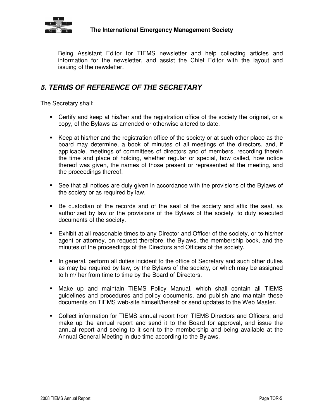

Being Assistant Editor for TIEMS newsletter and help collecting articles and information for the newsletter, and assist the Chief Editor with the layout and issuing of the newsletter.

### **5. TERMS OF REFERENCE OF THE SECRETARY**

The Secretary shall:

- Certify and keep at his/her and the registration office of the society the original, or a copy, of the Bylaws as amended or otherwise altered to date.
- Keep at his/her and the registration office of the society or at such other place as the board may determine, a book of minutes of all meetings of the directors, and, if applicable, meetings of committees of directors and of members, recording therein the time and place of holding, whether regular or special, how called, how notice thereof was given, the names of those present or represented at the meeting, and the proceedings thereof.
- See that all notices are duly given in accordance with the provisions of the Bylaws of the society or as required by law.
- Be custodian of the records and of the seal of the society and affix the seal, as authorized by law or the provisions of the Bylaws of the society, to duty executed documents of the society.
- Exhibit at all reasonable times to any Director and Officer of the society, or to his/her agent or attorney, on request therefore, the Bylaws, the membership book, and the minutes of the proceedings of the Directors and Officers of the society.
- In general, perform all duties incident to the office of Secretary and such other duties as may be required by law, by the Bylaws of the society, or which may be assigned to him/ her from time to time by the Board of Directors.
- Make up and maintain TIEMS Policy Manual, which shall contain all TIEMS guidelines and procedures and policy documents, and publish and maintain these documents on TIEMS web-site himself/herself or send updates to the Web Master.
- Collect information for TIEMS annual report from TIEMS Directors and Officers, and make up the annual report and send it to the Board for approval, and issue the annual report and seeing to it sent to the membership and being available at the Annual General Meeting in due time according to the Bylaws.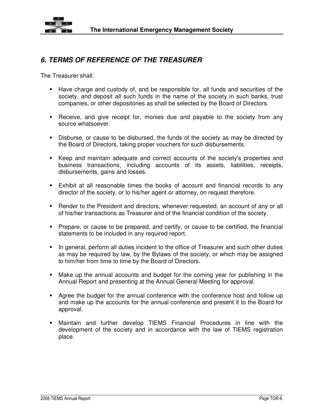

### **6. TERMS OF REFERENCE OF THE TREASURER**

The Treasurer shall:

- Have charge and custody of, and be responsible for, all funds and securities of the society, and deposit all such funds in the name of the society in such banks, trust companies, or other depositories as shall be selected by the Board of Directors.
- Receive, and give receipt for, monies due and payable to the society from any source whatsoever.
- Disburse, or cause to be disbursed, the funds of the society as may be directed by the Board of Directors, taking proper vouchers for such disbursements.
- Keep and maintain adequate and correct accounts of the society's properties and business transactions, including accounts of its assets, liabilities, receipts, disbursements, gains and losses.
- Exhibit at all reasonable times the books of account and financial records to any director of the society, or to his/her agent or attorney, on request therefore.
- Render to the President and directors, whenever requested, an account of any or all of his/her transactions as Treasurer and of the financial condition of the society.
- Prepare, or cause to be prepared, and certify, or cause to be certified, the financial statements to be included in any required report.
- In general, perform all duties incident to the office of Treasurer and such other duties as may be required by law, by the Bylaws of the society, or which may be assigned to him/her from time to time by the Board of Directors.
- Make up the annual accounts and budget for the coming year for publishing in the Annual Report and presenting at the Annual General Meeting for approval.
- Agree the budget for the annual conference with the conference host and follow up and make up the accounts for the annual conference and present it to the Board for approval.
- Maintain and further develop TIEMS Financial Procedures in line with the development of the society and in accordance with the law of TIEMS registration place.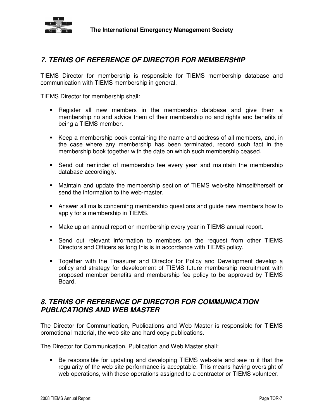

#### **7. TERMS OF REFERENCE OF DIRECTOR FOR MEMBERSHIP**

TIEMS Director for membership is responsible for TIEMS membership database and communication with TIEMS membership in general.

TIEMS Director for membership shall:

- Register all new members in the membership database and give them a membership no and advice them of their membership no and rights and benefits of being a TIEMS member.
- Keep a membership book containing the name and address of all members, and, in the case where any membership has been terminated, record such fact in the membership book together with the date on which such membership ceased.
- Send out reminder of membership fee every year and maintain the membership database accordingly.
- Maintain and update the membership section of TIEMS web-site himself/herself or send the information to the web-master.
- Answer all mails concerning membership questions and guide new members how to apply for a membership in TIEMS.
- Make up an annual report on membership every year in TIEMS annual report.
- Send out relevant information to members on the request from other TIEMS Directors and Officers as long this is in accordance with TIEMS policy.
- Together with the Treasurer and Director for Policy and Development develop a policy and strategy for development of TIEMS future membership recruitment with proposed member benefits and membership fee policy to be approved by TIEMS Board.

#### **8. TERMS OF REFERENCE OF DIRECTOR FOR COMMUNICATION PUBLICATIONS AND WEB MASTER**

The Director for Communication, Publications and Web Master is responsible for TIEMS promotional material, the web-site and hard copy publications.

The Director for Communication, Publication and Web Master shall:

 Be responsible for updating and developing TIEMS web-site and see to it that the regularity of the web-site performance is acceptable. This means having oversight of web operations, with these operations assigned to a contractor or TIEMS volunteer.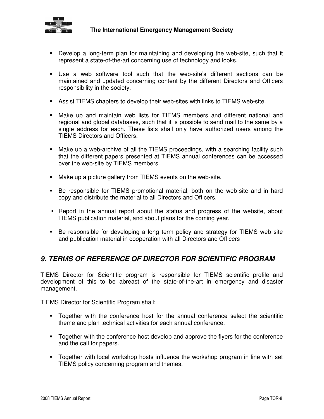

- Develop a long-term plan for maintaining and developing the web-site, such that it represent a state-of-the-art concerning use of technology and looks.
- Use a web software tool such that the web-site's different sections can be maintained and updated concerning content by the different Directors and Officers responsibility in the society.
- Assist TIEMS chapters to develop their web-sites with links to TIEMS web-site.
- Make up and maintain web lists for TIEMS members and different national and regional and global databases, such that it is possible to send mail to the same by a single address for each. These lists shall only have authorized users among the TIEMS Directors and Officers.
- Make up a web-archive of all the TIEMS proceedings, with a searching facility such that the different papers presented at TIEMS annual conferences can be accessed over the web-site by TIEMS members.
- Make up a picture gallery from TIEMS events on the web-site.
- Be responsible for TIEMS promotional material, both on the web-site and in hard copy and distribute the material to all Directors and Officers.
- Report in the annual report about the status and progress of the website, about TIEMS publication material, and about plans for the coming year.
- Be responsible for developing a long term policy and strategy for TIEMS web site and publication material in cooperation with all Directors and Officers

#### **9. TERMS OF REFERENCE OF DIRECTOR FOR SCIENTIFIC PROGRAM**

TIEMS Director for Scientific program is responsible for TIEMS scientific profile and development of this to be abreast of the state-of-the-art in emergency and disaster management.

TIEMS Director for Scientific Program shall:

- Together with the conference host for the annual conference select the scientific theme and plan technical activities for each annual conference.
- **The Together with the conference host develop and approve the flyers for the conference** and the call for papers.
- Together with local workshop hosts influence the workshop program in line with set TIEMS policy concerning program and themes.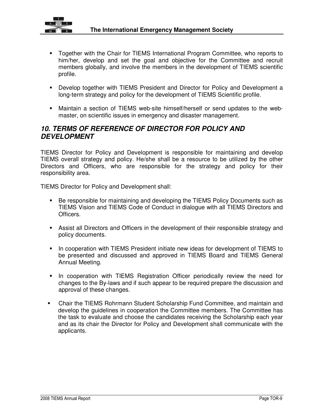

- Together with the Chair for TIEMS International Program Committee, who reports to him/her, develop and set the goal and objective for the Committee and recruit members globally, and involve the members in the development of TIEMS scientific profile.
- Develop together with TIEMS President and Director for Policy and Development a long-term strategy and policy for the development of TIEMS Scientific profile.
- Maintain a section of TIEMS web-site himself/herself or send updates to the webmaster, on scientific issues in emergency and disaster management.

#### **10. TERMS OF REFERENCE OF DIRECTOR FOR POLICY AND DEVELOPMENT**

TIEMS Director for Policy and Development is responsible for maintaining and develop TIEMS overall strategy and policy. He/she shall be a resource to be utilized by the other Directors and Officers, who are responsible for the strategy and policy for their responsibility area.

TIEMS Director for Policy and Development shall:

- **Be responsible for maintaining and developing the TIEMS Policy Documents such as** TIEMS Vision and TIEMS Code of Conduct in dialogue with all TIEMS Directors and Officers.
- Assist all Directors and Officers in the development of their responsible strategy and policy documents.
- **IF** In cooperation with TIEMS President initiate new ideas for development of TIEMS to be presented and discussed and approved in TIEMS Board and TIEMS General Annual Meeting.
- **In cooperation with TIEMS Registration Officer periodically review the need for** changes to the By-laws and if such appear to be required prepare the discussion and approval of these changes.
- Chair the TIEMS Rohrmann Student Scholarship Fund Committee, and maintain and develop the guidelines in cooperation the Committee members. The Committee has the task to evaluate and choose the candidates receiving the Scholarship each year and as its chair the Director for Policy and Development shall communicate with the applicants.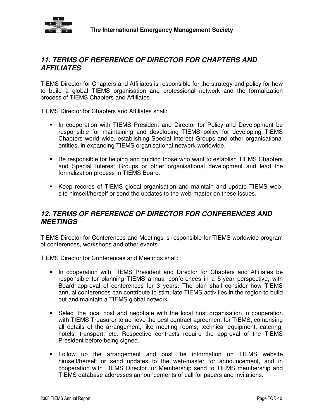

#### **11. TERMS OF REFERENCE OF DIRECTOR FOR CHAPTERS AND AFFILIATES**

TIEMS Director for Chapters and Affiliates is responsible for the strategy and policy for how to build a global TIEMS organisation and professional network and the formalization process of TIEMS Chapters and Affiliates.

TIEMS Director for Chapters and Affiliates shall:

- **In cooperation with TIEMS President and Director for Policy and Development be** responsible for maintaining and developing TIEMS policy for developing TIEMS Chapters world wide, establishing Special Interest Groups and other organisational entities, in expanding TIEMS organisational network worldwide.
- Be responsible for helping and guiding those who want to establish TIEMS Chapters and Special Interest Groups or other organisational development and lead the formalization process in TIEMS Board.
- Keep records of TIEMS global organisation and maintain and update TIEMS website himself/herself or send the updates to the web-master on these issues.

#### **12. TERMS OF REFERENCE OF DIRECTOR FOR CONFERENCES AND MEETINGS**

TIEMS Director for Conferences and Meetings is responsible for TIEMS worldwide program of conferences, workshops and other events.

TIEMS Director for Conferences and Meetings shall:

- **IF In cooperation with TIEMS President and Director for Chapters and Affiliates be** responsible for planning TIEMS annual conferences in a 5-year perspective, with Board approval of conferences for 3 years. The plan shall consider how TIEMS annual conferences can contribute to stimulate TIEMS activities in the region to build out and maintain a TIEMS global network.
- Select the local host and negotiate with the local host organisation in cooperation with TIEMS Treasurer to achieve the best contract agreement for TIEMS, comprising all details of the arrangement, like meeting rooms, technical equipment, catering, hotels, transport, etc. Respective contracts require the approval of the TIEMS President before being signed.
- Follow up the arrangement and post the information on TIEMS website himself/herself or send updates to the web-master for announcement, and in cooperation with TIEMS Director for Membership send to TIEMS membership and TIEMS database addresses announcements of call for papers and invitations.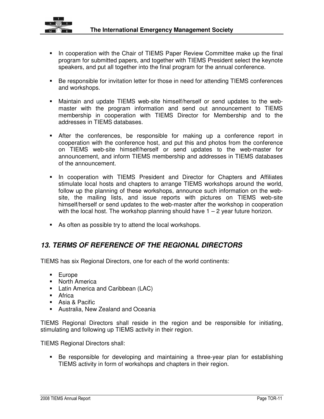

- **IF** In cooperation with the Chair of TIEMS Paper Review Committee make up the final program for submitted papers, and together with TIEMS President select the keynote speakers, and put all together into the final program for the annual conference.
- Be responsible for invitation letter for those in need for attending TIEMS conferences and workshops.
- Maintain and update TIEMS web-site himself/herself or send updates to the webmaster with the program information and send out announcement to TIEMS membership in cooperation with TIEMS Director for Membership and to the addresses in TIEMS databases.
- After the conferences, be responsible for making up a conference report in cooperation with the conference host, and put this and photos from the conference on TIEMS web-site himself/herself or send updates to the web-master for announcement, and inform TIEMS membership and addresses in TIEMS databases of the announcement.
- **IF In cooperation with TIEMS President and Director for Chapters and Affiliates** stimulate local hosts and chapters to arrange TIEMS workshops around the world, follow up the planning of these workshops, announce such information on the website, the mailing lists, and issue reports with pictures on TIEMS web-site himself/herself or send updates to the web-master after the workshop in cooperation with the local host. The workshop planning should have  $1 - 2$  year future horizon.
- As often as possible try to attend the local workshops.

#### **13. TERMS OF REFERENCE OF THE REGIONAL DIRECTORS**

TIEMS has six Regional Directors, one for each of the world continents:

- Europe
- **North America**
- **Latin America and Caribbean (LAC)**
- **-** Africa
- **Asia & Pacific**
- Australia, New Zealand and Oceania

TIEMS Regional Directors shall reside in the region and be responsible for initiating, stimulating and following up TIEMS activity in their region.

TIEMS Regional Directors shall:

 Be responsible for developing and maintaining a three-year plan for establishing TIEMS activity in form of workshops and chapters in their region.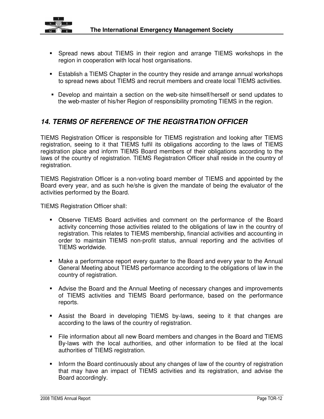

- Spread news about TIEMS in their region and arrange TIEMS workshops in the region in cooperation with local host organisations.
- **Establish a TIEMS Chapter in the country they reside and arrange annual workshops** to spread news about TIEMS and recruit members and create local TIEMS activities.
- Develop and maintain a section on the web-site himself/herself or send updates to the web-master of his/her Region of responsibility promoting TIEMS in the region.

### **14. TERMS OF REFERENCE OF THE REGISTRATION OFFICER**

TIEMS Registration Officer is responsible for TIEMS registration and looking after TIEMS registration, seeing to it that TIEMS fulfil its obligations according to the laws of TIEMS registration place and inform TIEMS Board members of their obligations according to the laws of the country of registration. TIEMS Registration Officer shall reside in the country of registration.

TIEMS Registration Officer is a non-voting board member of TIEMS and appointed by the Board every year, and as such he/she is given the mandate of being the evaluator of the activities performed by the Board.

TIEMS Registration Officer shall:

- Observe TIEMS Board activities and comment on the performance of the Board activity concerning those activities related to the obligations of law in the country of registration. This relates to TIEMS membership, financial activities and accounting in order to maintain TIEMS non-profit status, annual reporting and the activities of TIEMS worldwide.
- Make a performance report every quarter to the Board and every year to the Annual General Meeting about TIEMS performance according to the obligations of law in the country of registration.
- Advise the Board and the Annual Meeting of necessary changes and improvements of TIEMS activities and TIEMS Board performance, based on the performance reports.
- Assist the Board in developing TIEMS by-laws, seeing to it that changes are according to the laws of the country of registration.
- File information about all new Board members and changes in the Board and TIEMS By-laws with the local authorities, and other information to be filed at the local authorities of TIEMS registration.
- Inform the Board continuously about any changes of law of the country of registration that may have an impact of TIEMS activities and its registration, and advise the Board accordingly.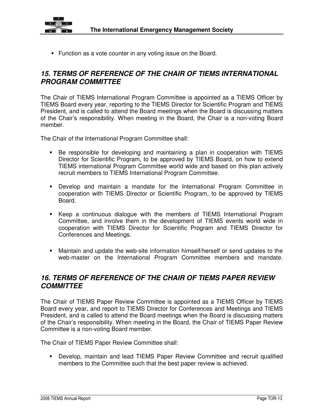

**Function as a vote counter in any voting issue on the Board.** 

#### **15. TERMS OF REFERENCE OF THE CHAIR OF TIEMS INTERNATIONAL PROGRAM COMMITTEE**

The Chair of TIEMS International Program Committee is appointed as a TIEMS Officer by TIEMS Board every year, reporting to the TIEMS Director for Scientific Program and TIEMS President, and is called to attend the Board meetings when the Board is discussing matters of the Chair's responsibility. When meeting in the Board, the Chair is a non-voting Board member.

The Chair of the International Program Committee shall:

- Be responsible for developing and maintaining a plan in cooperation with TIEMS Director for Scientific Program, to be approved by TIEMS Board, on how to extend TIEMS international Program Committee world wide and based on this plan actively recruit members to TIEMS International Program Committee.
- Develop and maintain a mandate for the International Program Committee in cooperation with TIEMS Director or Scientific Program, to be approved by TIEMS Board.
- Keep a continuous dialogue with the members of TIEMS International Program Committee, and involve them in the development of TIEMS events world wide in cooperation with TIEMS Director for Scientific Program and TIEMS Director for Conferences and Meetings.
- Maintain and update the web-site information himself/herself or send updates to the web-master on the International Program Committee members and mandate.

#### **16. TERMS OF REFERENCE OF THE CHAIR OF TIEMS PAPER REVIEW COMMITTEE**

The Chair of TIEMS Paper Review Committee is appointed as a TIEMS Officer by TIEMS Board every year, and report to TIEMS Director for Conferences and Meetings and TIEMS President, and is called to attend the Board meetings when the Board is discussing matters of the Chair's responsibility. When meeting in the Board, the Chair of TIEMS Paper Review Committee is a non-voting Board member.

The Chair of TIEMS Paper Review Committee shall:

 Develop, maintain and lead TIEMS Paper Review Committee and recruit qualified members to the Committee such that the best paper review is achieved.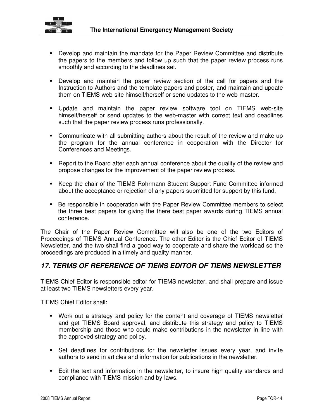

- Develop and maintain the mandate for the Paper Review Committee and distribute the papers to the members and follow up such that the paper review process runs smoothly and according to the deadlines set.
- Develop and maintain the paper review section of the call for papers and the Instruction to Authors and the template papers and poster, and maintain and update them on TIEMS web-site himself/herself or send updates to the web-master.
- Update and maintain the paper review software tool on TIEMS web-site himself/herself or send updates to the web-master with correct text and deadlines such that the paper review process runs professionally.
- Communicate with all submitting authors about the result of the review and make up the program for the annual conference in cooperation with the Director for Conferences and Meetings.
- Report to the Board after each annual conference about the quality of the review and propose changes for the improvement of the paper review process.
- Keep the chair of the TIEMS-Rohrmann Student Support Fund Committee informed about the acceptance or rejection of any papers submitted for support by this fund.
- Be responsible in cooperation with the Paper Review Committee members to select the three best papers for giving the there best paper awards during TIEMS annual conference.

The Chair of the Paper Review Committee will also be one of the two Editors of Proceedings of TIEMS Annual Conference. The other Editor is the Chief Editor of TIEMS Newsletter, and the two shall find a good way to cooperate and share the workload so the proceedings are produced in a timely and quality manner.

#### **17. TERMS OF REFERENCE OF TIEMS EDITOR OF TIEMS NEWSLETTER**

TIEMS Chief Editor is responsible editor for TIEMS newsletter, and shall prepare and issue at least two TIEMS newsletters every year.

TIEMS Chief Editor shall:

- Work out a strategy and policy for the content and coverage of TIEMS newsletter and get TIEMS Board approval, and distribute this strategy and policy to TIEMS membership and those who could make contributions in the newsletter in line with the approved strategy and policy.
- Set deadlines for contributions for the newsletter issues every year, and invite authors to send in articles and information for publications in the newsletter.
- Edit the text and information in the newsletter, to insure high quality standards and compliance with TIEMS mission and by-laws.